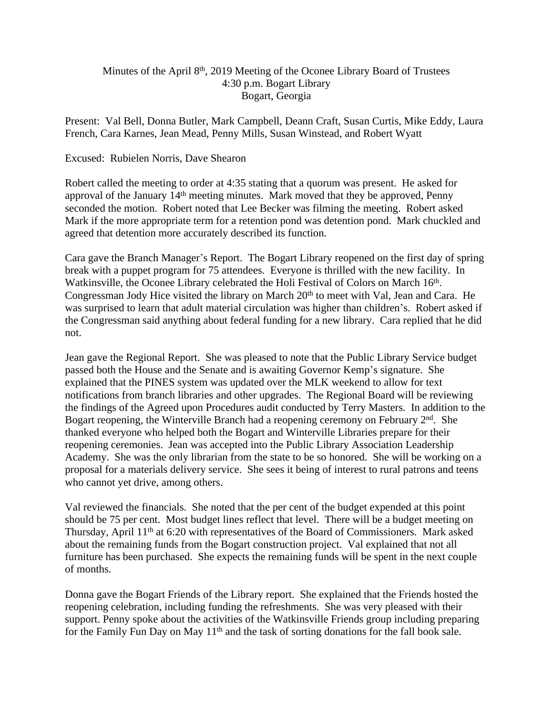## Minutes of the April 8<sup>th</sup>, 2019 Meeting of the Oconee Library Board of Trustees 4:30 p.m. Bogart Library Bogart, Georgia

Present: Val Bell, Donna Butler, Mark Campbell, Deann Craft, Susan Curtis, Mike Eddy, Laura French, Cara Karnes, Jean Mead, Penny Mills, Susan Winstead, and Robert Wyatt

## Excused: Rubielen Norris, Dave Shearon

Robert called the meeting to order at 4:35 stating that a quorum was present. He asked for approval of the January 14th meeting minutes. Mark moved that they be approved, Penny seconded the motion. Robert noted that Lee Becker was filming the meeting. Robert asked Mark if the more appropriate term for a retention pond was detention pond. Mark chuckled and agreed that detention more accurately described its function.

Cara gave the Branch Manager's Report. The Bogart Library reopened on the first day of spring break with a puppet program for 75 attendees. Everyone is thrilled with the new facility. In Watkinsville, the Oconee Library celebrated the Holi Festival of Colors on March 16<sup>th</sup>. Congressman Jody Hice visited the library on March 20<sup>th</sup> to meet with Val, Jean and Cara. He was surprised to learn that adult material circulation was higher than children's. Robert asked if the Congressman said anything about federal funding for a new library. Cara replied that he did not.

Jean gave the Regional Report. She was pleased to note that the Public Library Service budget passed both the House and the Senate and is awaiting Governor Kemp's signature. She explained that the PINES system was updated over the MLK weekend to allow for text notifications from branch libraries and other upgrades. The Regional Board will be reviewing the findings of the Agreed upon Procedures audit conducted by Terry Masters. In addition to the Bogart reopening, the Winterville Branch had a reopening ceremony on February 2<sup>nd</sup>. She thanked everyone who helped both the Bogart and Winterville Libraries prepare for their reopening ceremonies. Jean was accepted into the Public Library Association Leadership Academy. She was the only librarian from the state to be so honored. She will be working on a proposal for a materials delivery service. She sees it being of interest to rural patrons and teens who cannot yet drive, among others.

Val reviewed the financials. She noted that the per cent of the budget expended at this point should be 75 per cent. Most budget lines reflect that level. There will be a budget meeting on Thursday, April 11th at 6:20 with representatives of the Board of Commissioners. Mark asked about the remaining funds from the Bogart construction project. Val explained that not all furniture has been purchased. She expects the remaining funds will be spent in the next couple of months.

Donna gave the Bogart Friends of the Library report. She explained that the Friends hosted the reopening celebration, including funding the refreshments. She was very pleased with their support. Penny spoke about the activities of the Watkinsville Friends group including preparing for the Family Fun Day on May 11th and the task of sorting donations for the fall book sale.